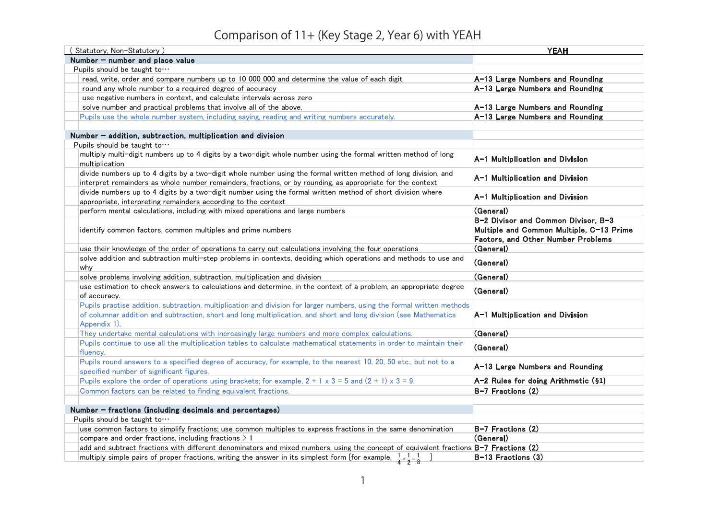## Comparison of 11+ (Key Stage 2, Year 6) with YEAH

| (Statutory, Non-Statutory)                                                                                                                                                                                                                                   | <b>YEAH</b>                                                                                                                  |
|--------------------------------------------------------------------------------------------------------------------------------------------------------------------------------------------------------------------------------------------------------------|------------------------------------------------------------------------------------------------------------------------------|
| Number - number and place value                                                                                                                                                                                                                              |                                                                                                                              |
| Pupils should be taught to $\cdots$                                                                                                                                                                                                                          |                                                                                                                              |
| read, write, order and compare numbers up to 10 000 000 and determine the value of each digit                                                                                                                                                                | A-13 Large Numbers and Rounding                                                                                              |
| round any whole number to a required degree of accuracy                                                                                                                                                                                                      | A-13 Large Numbers and Rounding                                                                                              |
| use negative numbers in context, and calculate intervals across zero                                                                                                                                                                                         |                                                                                                                              |
| solve number and practical problems that involve all of the above.                                                                                                                                                                                           | A-13 Large Numbers and Rounding                                                                                              |
| Pupils use the whole number system, including saying, reading and writing numbers accurately.                                                                                                                                                                | A-13 Large Numbers and Rounding                                                                                              |
|                                                                                                                                                                                                                                                              |                                                                                                                              |
| Number - addition, subtraction, multiplication and division                                                                                                                                                                                                  |                                                                                                                              |
| Pupils should be taught to $\cdots$                                                                                                                                                                                                                          |                                                                                                                              |
| multiply multi-digit numbers up to 4 digits by a two-digit whole number using the formal written method of long<br>multiplication                                                                                                                            | A-1 Multiplication and Division                                                                                              |
| divide numbers up to 4 digits by a two-digit whole number using the formal written method of long division, and                                                                                                                                              | A-1 Multiplication and Division                                                                                              |
| interpret remainders as whole number remainders, fractions, or by rounding, as appropriate for the context                                                                                                                                                   |                                                                                                                              |
| divide numbers up to 4 digits by a two-digit number using the formal written method of short division where                                                                                                                                                  | A-1 Multiplication and Division                                                                                              |
| appropriate, interpreting remainders according to the context                                                                                                                                                                                                |                                                                                                                              |
| perform mental calculations, including with mixed operations and large numbers                                                                                                                                                                               | (General)                                                                                                                    |
| identify common factors, common multiples and prime numbers                                                                                                                                                                                                  | B-2 Divisor and Common Divisor, B-3<br>Multiple and Common Multiple, C-13 Prime<br><b>Factors, and Other Number Problems</b> |
| use their knowledge of the order of operations to carry out calculations involving the four operations                                                                                                                                                       | (General)                                                                                                                    |
| solve addition and subtraction multi-step problems in contexts, deciding which operations and methods to use and<br>why                                                                                                                                      | (General)                                                                                                                    |
| solve problems involving addition, subtraction, multiplication and division                                                                                                                                                                                  | (General)                                                                                                                    |
| use estimation to check answers to calculations and determine, in the context of a problem, an appropriate degree                                                                                                                                            |                                                                                                                              |
| of accuracy.                                                                                                                                                                                                                                                 | (General)                                                                                                                    |
| Pupils practise addition, subtraction, multiplication and division for larger numbers, using the formal written methods<br>of columnar addition and subtraction, short and long multiplication, and short and long division (see Mathematics<br>Appendix 1). | A-1 Multiplication and Division                                                                                              |
| They undertake mental calculations with increasingly large numbers and more complex calculations.                                                                                                                                                            | (General)                                                                                                                    |
| Pupils continue to use all the multiplication tables to calculate mathematical statements in order to maintain their<br>fluency.                                                                                                                             | (General)                                                                                                                    |
| Pupils round answers to a specified degree of accuracy, for example, to the nearest 10, 20, 50 etc., but not to a<br>specified number of significant figures.                                                                                                | A-13 Large Numbers and Rounding                                                                                              |
| Pupils explore the order of operations using brackets; for example, $2 + 1 \times 3 = 5$ and $(2 + 1) \times 3 = 9$ .                                                                                                                                        | A-2 Rules for doing Arithmetic (§1)                                                                                          |
| Common factors can be related to finding equivalent fractions.                                                                                                                                                                                               | $B-7$ Fractions $(2)$                                                                                                        |
|                                                                                                                                                                                                                                                              |                                                                                                                              |
| Number - fractions (including decimals and percentages)                                                                                                                                                                                                      |                                                                                                                              |
| Pupils should be taught to $\cdots$                                                                                                                                                                                                                          |                                                                                                                              |
| use common factors to simplify fractions; use common multiples to express fractions in the same denomination                                                                                                                                                 | $B-7$ Fractions $(2)$                                                                                                        |
| compare and order fractions, including fractions $> 1$                                                                                                                                                                                                       | (General)                                                                                                                    |
| add and subtract fractions with different denominators and mixed numbers, using the concept of equivalent fractions B-7 Fractions (2)                                                                                                                        |                                                                                                                              |
| multiply simple pairs of proper fractions, writing the answer in its simplest form [for example, $\frac{1}{4} \times \frac{1}{2} = \frac{1}{8}$ ]                                                                                                            | $B-13$ Fractions $(3)$                                                                                                       |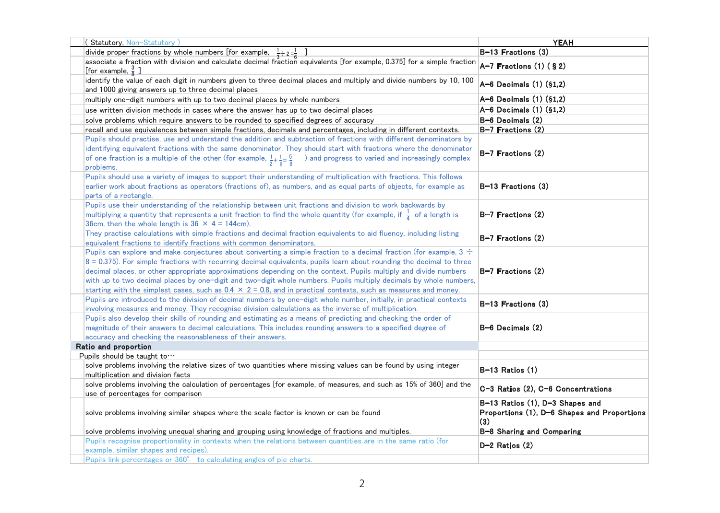| (Statutory, Non-Statutory)                                                                                                                                                                                                                                                                                                                                                                                                                                                                                                                                                                                            | <b>YEAH</b>                                                                           |
|-----------------------------------------------------------------------------------------------------------------------------------------------------------------------------------------------------------------------------------------------------------------------------------------------------------------------------------------------------------------------------------------------------------------------------------------------------------------------------------------------------------------------------------------------------------------------------------------------------------------------|---------------------------------------------------------------------------------------|
| divide proper fractions by whole numbers [for example, $\frac{1}{3} \div 2 = \frac{1}{6}$                                                                                                                                                                                                                                                                                                                                                                                                                                                                                                                             | B-13 Fractions (3)                                                                    |
| associate a fraction with division and calculate decimal fraction equivalents [for example, 0.375] for a simple fraction                                                                                                                                                                                                                                                                                                                                                                                                                                                                                              | $A-7$ Fractions (1) (§2)                                                              |
| [for example, $\frac{3}{8}$ ]                                                                                                                                                                                                                                                                                                                                                                                                                                                                                                                                                                                         |                                                                                       |
| identify the value of each digit in numbers given to three decimal places and multiply and divide numbers by 10, 100<br>and 1000 giving answers up to three decimal places                                                                                                                                                                                                                                                                                                                                                                                                                                            | $A-6$ Decimals $(1)$ $(§1,2)$                                                         |
| multiply one-digit numbers with up to two decimal places by whole numbers                                                                                                                                                                                                                                                                                                                                                                                                                                                                                                                                             | A-6 Decimals (1) (§1,2)                                                               |
| use written division methods in cases where the answer has up to two decimal places                                                                                                                                                                                                                                                                                                                                                                                                                                                                                                                                   | $A-6$ Decimals $(1)$ $(§1,2)$                                                         |
| solve problems which require answers to be rounded to specified degrees of accuracy                                                                                                                                                                                                                                                                                                                                                                                                                                                                                                                                   | $B-6$ Decimals $(2)$                                                                  |
| recall and use equivalences between simple fractions, decimals and percentages, including in different contexts.                                                                                                                                                                                                                                                                                                                                                                                                                                                                                                      | $B-7$ Fractions $(2)$                                                                 |
| Pupils should practise, use and understand the addition and subtraction of fractions with different denominators by<br>identifying equivalent fractions with the same denominator. They should start with fractions where the denominator<br>of one fraction is a multiple of the other (for example, $\frac{1}{2} + \frac{1}{8} = \frac{5}{8}$ ) and progress to varied and increasingly complex<br>problems.                                                                                                                                                                                                        | B-7 Fractions (2)                                                                     |
| Pupils should use a variety of images to support their understanding of multiplication with fractions. This follows<br>earlier work about fractions as operators (fractions of), as numbers, and as equal parts of objects, for example as<br>parts of a rectangle.                                                                                                                                                                                                                                                                                                                                                   | $B-13$ Fractions $(3)$                                                                |
| Pupils use their understanding of the relationship between unit fractions and division to work backwards by<br>multiplying a quantity that represents a unit fraction to find the whole quantity (for example, if $\frac{1}{4}$ of a length is<br>36cm, then the whole length is $36 \times 4 = 144$ cm).                                                                                                                                                                                                                                                                                                             | $B-7$ Fractions (2)                                                                   |
| They practise calculations with simple fractions and decimal fraction equivalents to aid fluency, including listing<br>equivalent fractions to identify fractions with common denominators.                                                                                                                                                                                                                                                                                                                                                                                                                           | $B-7$ Fractions $(2)$                                                                 |
| Pupils can explore and make conjectures about converting a simple fraction to a decimal fraction (for example, $3 \div$<br>8 = 0.375). For simple fractions with recurring decimal equivalents, pupils learn about rounding the decimal to three<br>decimal places, or other appropriate approximations depending on the context. Pupils multiply and divide numbers<br>with up to two decimal places by one-digit and two-digit whole numbers. Pupils multiply decimals by whole numbers,<br>starting with the simplest cases, such as $0.4 \times 2 = 0.8$ , and in practical contexts, such as measures and money. | $B-7$ Fractions $(2)$                                                                 |
| Pupils are introduced to the division of decimal numbers by one-digit whole number, initially, in practical contexts<br>involving measures and money. They recognise division calculations as the inverse of multiplication.                                                                                                                                                                                                                                                                                                                                                                                          | $B-13$ Fractions $(3)$                                                                |
| Pupils also develop their skills of rounding and estimating as a means of predicting and checking the order of<br>magnitude of their answers to decimal calculations. This includes rounding answers to a specified degree of<br>accuracy and checking the reasonableness of their answers.                                                                                                                                                                                                                                                                                                                           | B−6 Decimals (2)                                                                      |
| Ratio and proportion                                                                                                                                                                                                                                                                                                                                                                                                                                                                                                                                                                                                  |                                                                                       |
| Pupils should be taught to $\cdots$                                                                                                                                                                                                                                                                                                                                                                                                                                                                                                                                                                                   |                                                                                       |
| solve problems involving the relative sizes of two quantities where missing values can be found by using integer<br>multiplication and division facts                                                                                                                                                                                                                                                                                                                                                                                                                                                                 | $B-13$ Ratios $(1)$                                                                   |
| solve problems involving the calculation of percentages [for example, of measures, and such as 15% of 360] and the<br>use of percentages for comparison                                                                                                                                                                                                                                                                                                                                                                                                                                                               | C-3 Ratios (2), C-6 Concentrations                                                    |
| solve problems involving similar shapes where the scale factor is known or can be found                                                                                                                                                                                                                                                                                                                                                                                                                                                                                                                               | B-13 Ratios (1), D-3 Shapes and<br>Proportions (1), D-6 Shapes and Proportions<br>(3) |
| solve problems involving unequal sharing and grouping using knowledge of fractions and multiples.                                                                                                                                                                                                                                                                                                                                                                                                                                                                                                                     | B-8 Sharing and Comparing                                                             |
| Pupils recognise proportionality in contexts when the relations between quantities are in the same ratio (for                                                                                                                                                                                                                                                                                                                                                                                                                                                                                                         |                                                                                       |
| example, similar shapes and recipes).                                                                                                                                                                                                                                                                                                                                                                                                                                                                                                                                                                                 | $D-2$ Ratios $(2)$                                                                    |
| Pupils link percentages or 360° to calculating angles of pie charts.                                                                                                                                                                                                                                                                                                                                                                                                                                                                                                                                                  |                                                                                       |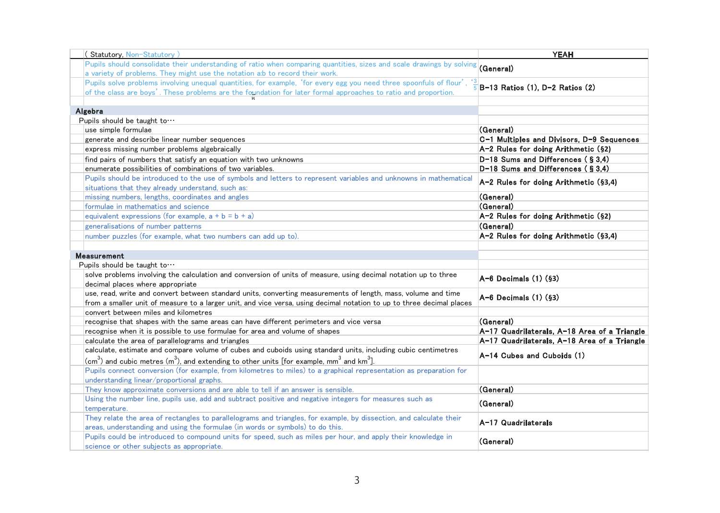| (Statutory, Non-Statutory)                                                                                                                      | <b>YEAH</b>                                  |
|-------------------------------------------------------------------------------------------------------------------------------------------------|----------------------------------------------|
| Pupils should consolidate their understanding of ratio when comparing quantities, sizes and scale drawings by solving                           |                                              |
| a variety of problems. They might use the notation a:b to record their work.                                                                    | (General)                                    |
| Pupils solve problems involving unequal quantities, for example, 'for every egg you need three spoonfuls of flour',                             |                                              |
| of the class are boys'. These problems are the foundation for later formal approaches to ratio and proportion.                                  | B-13 Ratios (1), D-2 Ratios (2)              |
|                                                                                                                                                 |                                              |
| Algebra                                                                                                                                         |                                              |
| Pupils should be taught to                                                                                                                      |                                              |
| use simple formulae                                                                                                                             | (General)                                    |
| generate and describe linear number sequences                                                                                                   | C-1 Multiples and Divisors, D-9 Sequences    |
| express missing number problems algebraically                                                                                                   | A-2 Rules for doing Arithmetic (§2)          |
| find pairs of numbers that satisfy an equation with two unknowns                                                                                | D-18 Sums and Differences (§3,4)             |
| enumerate possibilities of combinations of two variables.                                                                                       | D-18 Sums and Differences (§3,4)             |
| Pupils should be introduced to the use of symbols and letters to represent variables and unknowns in mathematical                               | A-2 Rules for doing Arithmetic (§3,4)        |
| situations that they already understand, such as:                                                                                               |                                              |
| missing numbers, lengths, coordinates and angles                                                                                                | (General)                                    |
| formulae in mathematics and science                                                                                                             | (General)                                    |
| equivalent expressions (for example, $a + b = b + a$ )                                                                                          | A-2 Rules for doing Arithmetic (§2)          |
| generalisations of number patterns                                                                                                              | (General)                                    |
| number puzzles (for example, what two numbers can add up to).                                                                                   | A-2 Rules for doing Arithmetic (§3,4)        |
|                                                                                                                                                 |                                              |
| Measurement                                                                                                                                     |                                              |
| Pupils should be taught to $\cdots$                                                                                                             |                                              |
| solve problems involving the calculation and conversion of units of measure, using decimal notation up to three                                 | $A-6$ Decimals $(1)$ $(63)$                  |
| decimal places where appropriate                                                                                                                |                                              |
| use, read, write and convert between standard units, converting measurements of length, mass, volume and time                                   | A-6 Decimals (1) (§3)                        |
| from a smaller unit of measure to a larger unit, and vice versa, using decimal notation to up to three decimal places                           |                                              |
| convert between miles and kilometres                                                                                                            |                                              |
| recognise that shapes with the same areas can have different perimeters and vice versa                                                          | (General)                                    |
| recognise when it is possible to use formulae for area and volume of shapes                                                                     | A-17 Quadrilaterals, A-18 Area of a Triangle |
| calculate the area of parallelograms and triangles                                                                                              | A-17 Quadrilaterals, A-18 Area of a Triangle |
| calculate, estimate and compare volume of cubes and cuboids using standard units, including cubic centimetres                                   | A-14 Cubes and Cuboids (1)                   |
| $\sim$ (cm <sup>3</sup> ) and cubic metres (m <sup>3</sup> ), and extending to other units [for example, mm <sup>3</sup> and km <sup>3</sup> ]. |                                              |
| Pupils connect conversion (for example, from kilometres to miles) to a graphical representation as preparation for                              |                                              |
| understanding linear/proportional graphs.                                                                                                       |                                              |
| They know approximate conversions and are able to tell if an answer is sensible.                                                                | (General)                                    |
| Using the number line, pupils use, add and subtract positive and negative integers for measures such as                                         | (General)                                    |
| temperature.                                                                                                                                    |                                              |
| They relate the area of rectangles to parallelograms and triangles, for example, by dissection, and calculate their                             | A-17 Quadrilaterals                          |
| areas, understanding and using the formulae (in words or symbols) to do this.                                                                   |                                              |
| Pupils could be introduced to compound units for speed, such as miles per hour, and apply their knowledge in                                    | (General)                                    |
| science or other subjects as appropriate.                                                                                                       |                                              |